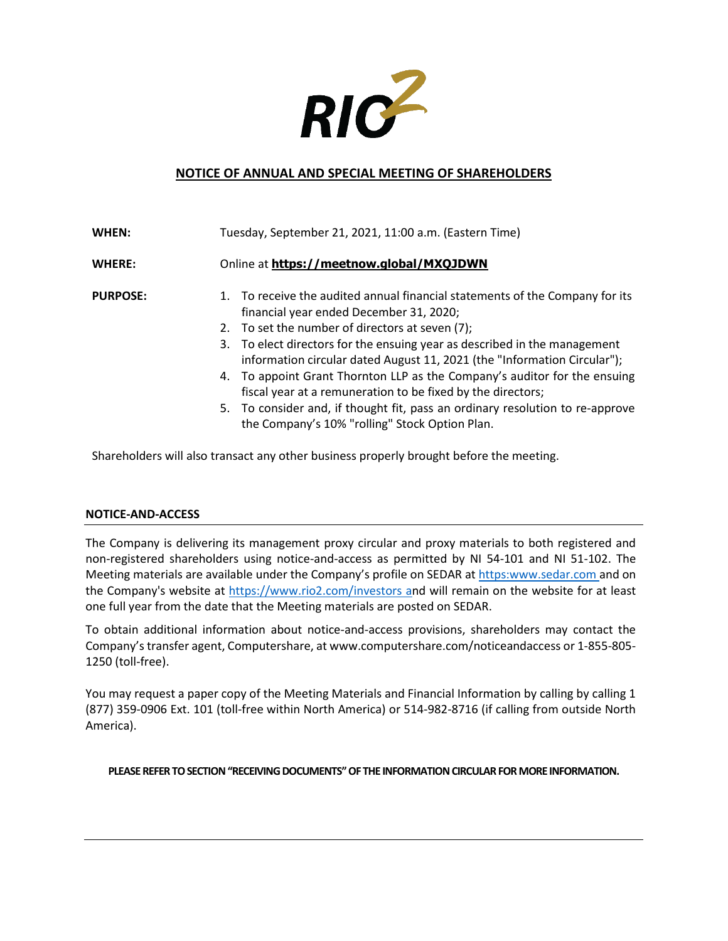

## **NOTICE OF ANNUAL AND SPECIAL MEETING OF SHAREHOLDERS**

| WHEN:           | Tuesday, September 21, 2021, 11:00 a.m. (Eastern Time)                                                                                                                                                                                                                                                                                                                                                                                                                                                                                                                                                             |
|-----------------|--------------------------------------------------------------------------------------------------------------------------------------------------------------------------------------------------------------------------------------------------------------------------------------------------------------------------------------------------------------------------------------------------------------------------------------------------------------------------------------------------------------------------------------------------------------------------------------------------------------------|
| <b>WHERE:</b>   | Online at https://meetnow.global/MXQJDWN                                                                                                                                                                                                                                                                                                                                                                                                                                                                                                                                                                           |
| <b>PURPOSE:</b> | 1. To receive the audited annual financial statements of the Company for its<br>financial year ended December 31, 2020;<br>2. To set the number of directors at seven (7);<br>3. To elect directors for the ensuing year as described in the management<br>information circular dated August 11, 2021 (the "Information Circular");<br>4. To appoint Grant Thornton LLP as the Company's auditor for the ensuing<br>fiscal year at a remuneration to be fixed by the directors;<br>5. To consider and, if thought fit, pass an ordinary resolution to re-approve<br>the Company's 10% "rolling" Stock Option Plan. |

Shareholders will also transact any other business properly brought before the meeting.

## **NOTICE-AND-ACCESS**

The Company is delivering its management proxy circular and proxy materials to both registered and non-registered shareholders using notice-and-access as permitted by NI 54-101 and NI 51-102. The Meeting materials are available under the Company's profile on SEDAR a[t https:www.sedar.com a](https://www.sedar.com/)nd on the Company's website at https://www.rio2.com/investors and will remain on the website for at least one full year from the date that the Meeting materials are posted on SEDAR.

To obtain additional information about notice-and-access provisions, shareholders may contact the Company's transfer agent, Computershare, a[t www.computershare.com/noticeandaccess o](http://www.computershare.com/noticeandaccess)r 1-855-805- 1250 (toll-free).

You may request a paper copy of the Meeting Materials and Financial Information by calling by calling 1 (877) 359-0906 Ext. 101 (toll-free within North America) or 514-982-8716 (if calling from outside North America).

**PLEASE REFER TO SECTION "RECEIVING DOCUMENTS" OF THE INFORMATION CIRCULAR FOR MORE INFORMATION.**